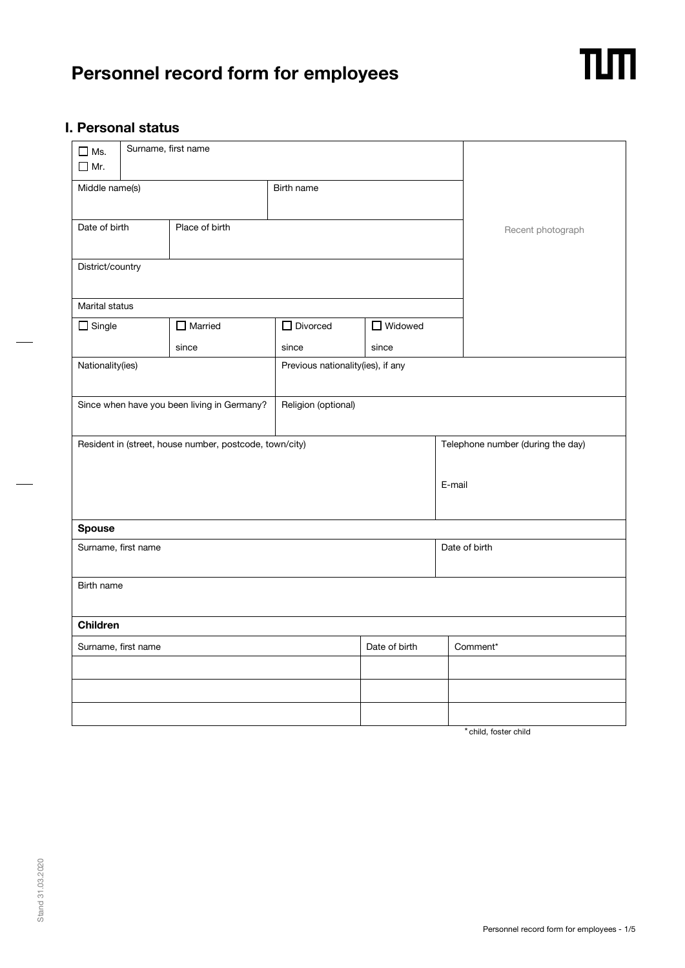# **Personnel record form for employees**



## **I. Personal status**

| $\Box$ Ms.<br>$\Box$ Mr. |                                                         | Surname, first name |                                   |                     |                   |                                   |  |
|--------------------------|---------------------------------------------------------|---------------------|-----------------------------------|---------------------|-------------------|-----------------------------------|--|
| Middle name(s)           |                                                         | Birth name          |                                   |                     |                   |                                   |  |
| Date of birth            | Place of birth                                          |                     |                                   |                     | Recent photograph |                                   |  |
|                          | District/country                                        |                     |                                   |                     |                   |                                   |  |
| Marital status           |                                                         |                     |                                   |                     |                   |                                   |  |
| $\Box$ Single            |                                                         | $\Box$ Married      | $\Box$ Divorced                   | $\Box$ Widowed      |                   |                                   |  |
|                          |                                                         | since               | since                             | since               |                   |                                   |  |
| Nationality(ies)         |                                                         |                     | Previous nationality(ies), if any |                     |                   |                                   |  |
|                          | Since when have you been living in Germany?             |                     |                                   | Religion (optional) |                   |                                   |  |
|                          | Resident in (street, house number, postcode, town/city) |                     |                                   |                     |                   | Telephone number (during the day) |  |
|                          |                                                         |                     | E-mail                            |                     |                   |                                   |  |
| <b>Spouse</b>            |                                                         |                     |                                   |                     |                   |                                   |  |
| Surname, first name      |                                                         |                     |                                   |                     |                   | Date of birth                     |  |
| Birth name               |                                                         |                     |                                   |                     |                   |                                   |  |
| <b>Children</b>          |                                                         |                     |                                   |                     |                   |                                   |  |
| Surname, first name      |                                                         |                     | Date of birth                     | Comment*            |                   |                                   |  |
|                          |                                                         |                     |                                   |                     |                   |                                   |  |
|                          |                                                         |                     |                                   |                     |                   |                                   |  |
|                          |                                                         |                     |                                   |                     |                   |                                   |  |

\* child, foster child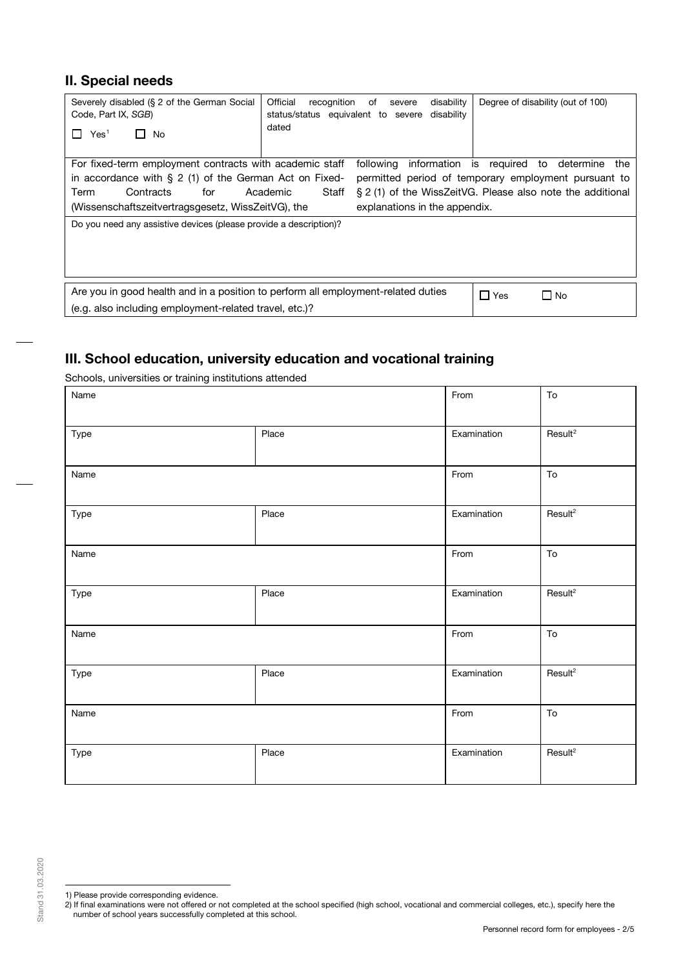# **II. Special needs**

| Severely disabled (§ 2 of the German Social<br>Code, Part IX, SGB)<br>Yes <sup>1</sup><br>No                                                                                                           | Official<br>disability<br>recognition<br>of<br>severe<br>status/status equivalent to severe<br>disability<br>dated | Degree of disability (out of 100)                                                                                                                                           |
|--------------------------------------------------------------------------------------------------------------------------------------------------------------------------------------------------------|--------------------------------------------------------------------------------------------------------------------|-----------------------------------------------------------------------------------------------------------------------------------------------------------------------------|
| For fixed-term employment contracts with academic staff<br>in accordance with $\S 2$ (1) of the German Act on Fixed-<br>Contracts<br>Term<br>for<br>(Wissenschaftszeitvertragsgesetz, WissZeitVG), the | Academic<br>Staff<br>explanations in the appendix.                                                                 | following information is required to determine<br>the<br>permitted period of temporary employment pursuant to<br>§ 2 (1) of the WissZeitVG. Please also note the additional |
| Do you need any assistive devices (please provide a description)?                                                                                                                                      |                                                                                                                    |                                                                                                                                                                             |
| Are you in good health and in a position to perform all employment-related duties<br>(e.g. also including employment-related travel, etc.)?                                                            |                                                                                                                    | $\Box$ Yes<br>$\Box$ No                                                                                                                                                     |

# **III. School education, university education and vocational training**

Schools, universities or training institutions attended

| Name |       | From        | ${\sf To}$          |
|------|-------|-------------|---------------------|
| Type | Place | Examination | Result <sup>2</sup> |
| Name |       | From        | ${\sf To}$          |
| Type | Place | Examination | Result <sup>2</sup> |
| Name |       | From        | ${\sf To}$          |
| Type | Place | Examination | Result <sup>2</sup> |
| Name |       | From        | ${\sf To}$          |
| Type | Place | Examination | Result <sup>2</sup> |
| Name |       | From        | ${\sf To}$          |
| Type | Place | Examination | Result <sup>2</sup> |

<sup>1)</sup> Please provide corresponding evidence.

<span id="page-1-1"></span><span id="page-1-0"></span><sup>2)</sup> If final examinations were not offered or not completed at the school specified (high school, vocational and commercial colleges, etc.), specify here the number of school years successfully completed at this school.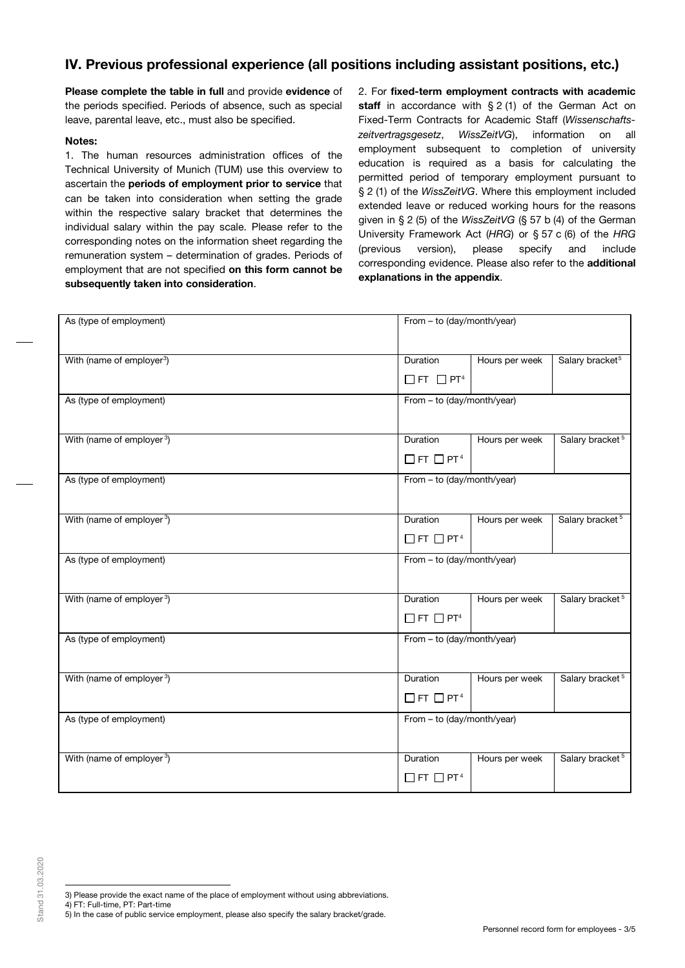# **IV. Previous professional experience (all positions including assistant positions, etc.)**

**Please complete the table in full** and provide **evidence** of the periods specified. Periods of absence, such as special leave, parental leave, etc., must also be specified.

### **Notes:**

1. The human resources administration offices of the Technical University of Munich (TUM) use this overview to ascertain the **periods of employment prior to service** that can be taken into consideration when setting the grade within the respective salary bracket that determines the individual salary within the pay scale. Please refer to the corresponding notes on the information sheet regarding the remuneration system – determination of grades. Periods of employment that are not specified **on this form cannot be subsequently taken into consideration**.

2. For **fixed-term employment contracts with academic** staff in accordance with § 2 (1) of the German Act on Fixed-Term Contracts for Academic Staff (*Wissenschaftszeitvertragsgesetz*, *WissZeitVG*), information on all employment subsequent to completion of university education is required as a basis for calculating the permitted period of temporary employment pursuant to § 2 (1) of the *WissZeitVG*. Where this employment included extended leave or reduced working hours for the reasons given in § 2 (5) of the *WissZeitVG* (§ 57 b (4) of the German University Framework Act (*HRG*) or § 57 c (6) of the *HRG* (previous version), please specify and include corresponding evidence. Please also refer to the **additional explanations in the appendix**.

| As (type of employment)               | From - to (day/month/year)                   |                |                             |  |
|---------------------------------------|----------------------------------------------|----------------|-----------------------------|--|
| With (name of employer <sup>3</sup> ) | Duration<br>$\Box$ FT $\Box$ PT <sup>4</sup> | Hours per week | Salary bracket <sup>5</sup> |  |
| As (type of employment)               | From - to (day/month/year)                   |                |                             |  |
| With (name of employer <sup>3</sup> ) | Duration<br>$\Box$ FT $\Box$ PT <sup>4</sup> | Hours per week | Salary bracket <sup>5</sup> |  |
| As (type of employment)               | From - to (day/month/year)                   |                |                             |  |
| With (name of employer <sup>3</sup> ) | Duration<br>$\Box$ FT $\Box$ PT <sup>4</sup> | Hours per week | Salary bracket <sup>5</sup> |  |
| As (type of employment)               | From - to (day/month/year)                   |                |                             |  |
| With (name of employer <sup>3</sup> ) | Duration<br>$\Box$ FT $\Box$ PT <sup>4</sup> | Hours per week | Salary bracket <sup>5</sup> |  |
| As (type of employment)               | From - to (day/month/year)                   |                |                             |  |
| With (name of employer <sup>3</sup> ) | Duration<br>$\Box$ FT $\Box$ PT <sup>4</sup> | Hours per week | Salary bracket <sup>5</sup> |  |
| As (type of employment)               | From - to (day/month/year)                   |                |                             |  |
| With (name of employer <sup>3</sup> ) | Duration<br>$\Box$ FT $\Box$ PT <sup>4</sup> | Hours per week | Salary bracket <sup>5</sup> |  |

- <span id="page-2-0"></span>3) Please provide the exact name of the place of employment without using abbreviations.
- <span id="page-2-2"></span><span id="page-2-1"></span>4) FT: Full-time, PT: Part-time
- 5) In the case of public service employment, please also specify the salary bracket/grade.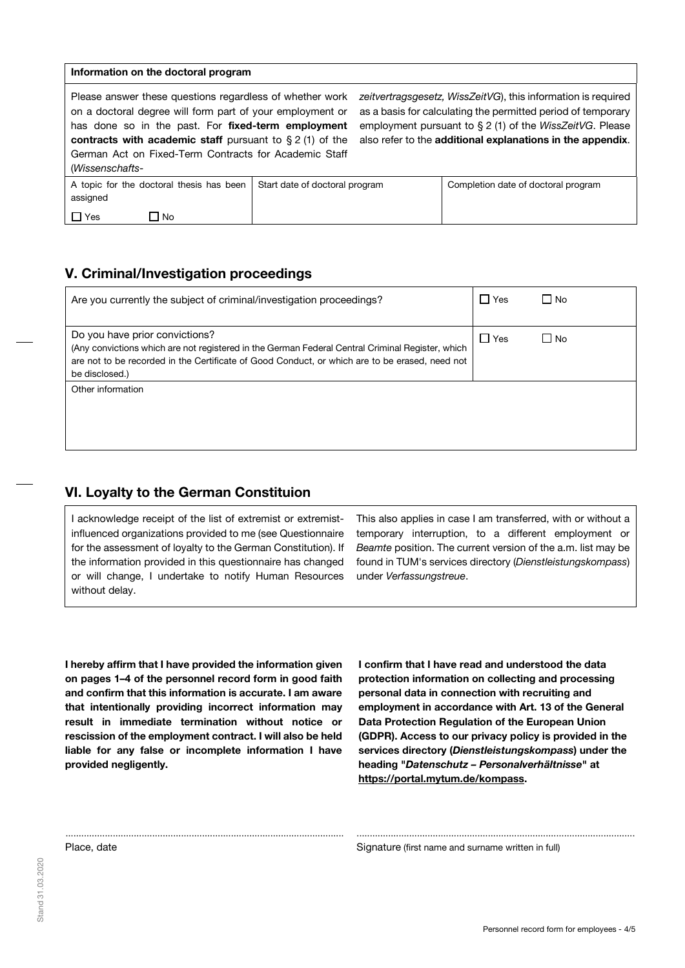#### **Information on the doctoral program**

Please answer these questions regardless of whether work on a doctoral degree will form part of your employment or has done so in the past. For **fixed-term employment contracts with academic staff** pursuant to § 2 (1) of the German Act on Fixed-Term Contracts for Academic Staff (*Wissenschafts-*

*zeitvertragsgesetz, WissZeitVG*), this information is required as a basis for calculating the permitted period of temporary employment pursuant to § 2 (1) of the *WissZeitVG*. Please also refer to the **additional explanations in the appendix**.

| 100133511361141137 |                                          |                                |                                     |  |
|--------------------|------------------------------------------|--------------------------------|-------------------------------------|--|
| assigned           | A topic for the doctoral thesis has been | Start date of doctoral program | Completion date of doctoral program |  |
| Yes                | No                                       |                                |                                     |  |

## **V. Criminal/Investigation proceedings**

| Are you currently the subject of criminal/investigation proceedings?                                                                                                                                                                                   | ∣ Yes      | l No |
|--------------------------------------------------------------------------------------------------------------------------------------------------------------------------------------------------------------------------------------------------------|------------|------|
| Do you have prior convictions?<br>(Any convictions which are not registered in the German Federal Central Criminal Register, which<br>are not to be recorded in the Certificate of Good Conduct, or which are to be erased, need not<br>be disclosed.) | $\Box$ Yes | l No |
| Other information                                                                                                                                                                                                                                      |            |      |

.......................................................................................................... ..........................................................................................................

## **VI. Loyalty to the German Constituion**

I acknowledge receipt of the list of extremist or extremistinfluenced organizations provided to me (see Questionnaire for the assessment of loyalty to the German Constitution). If the information provided in this questionnaire has changed or will change, I undertake to notify Human Resources without delay.

This also applies in case I am transferred, with or without a temporary interruption, to a different employment or *Beamte* position. The current version of the a.m. list may be found in TUM's services directory (*Dienstleistungskompass*) under *Verfassungstreue*.

**I hereby affirm that I have provided the information given on pages 1–4 of the personnel record form in good faith and confirm that this information is accurate. I am aware that intentionally providing incorrect information may result in immediate termination without notice or rescission of the employment contract. I will also be held liable for any false or incomplete information I have provided negligently.** 

**I confirm that I have read and understood the data protection information on collecting and processing personal data in connection with recruiting and employment in accordance with Art. 13 of the General Data Protection Regulation of the European Union (GDPR). Access to our privacy policy is provided in the services directory (***Dienstleistungskompass***) under the heading "***Datenschutz – Personalverhältnisse***" at [https://portal.mytum.de/kompass.](https://portal.mytum.de/kompass)**

Place, date **Signature (first name and surname written in full)** Signature (first name and surname written in full)